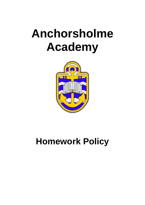# **Anchorsholme Academy**



## **Homework Policy**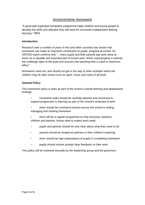### Anchorsholme Homework

"A good well organised homework programme helps children and young people to develop the skills and attitudes they will need for successful independent lifelong learning." DfES

#### **Introduction**

Research over a number of years in this and other countries has shown that homework can make an important contribution to pupils' progress at school. An OfSTED report confirms that "…many pupils and their parents see work done at home as a valuable and essential part of school work. When used properly it extends the challenge open to the pupil and ensures that teaching time is used to maximum effect."

Homework need not, and should not get in the way of other activities which the children may do after school such as sport, music and clubs of all kinds.

#### **General Policy**

This homework policy is seen as part of the school's overall learning and assessment strategy;

- homework tasks should be carefully planned and structured to support progression in learning as part of the school's schemes of work
- there should be consistent practice across the school in setting, managing and marking homework
- there will be a regular programme so that everyone, teachers, children and parents, knows what to expect each week
- pupils and parents should be very clear about what they need to do
- parents should be treated as partners in their children's learning
- there should be high expectations of pupils in completing homework
- pupils should receive prompt clear feedback on their work.

This policy will be reviewed annually by the leadership group and the governors.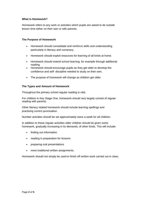#### **What is Homework?**

Homework refers to any work or activities which pupils are asked to de outside lesson time either on their own or with parents.

#### **The Purpose of Homework**

- Homework should consolidate and reinforce skills and understanding particularly in literacy and numeracy.
- Homework should exploit resources for learning of all kinds at home.
- Homework should extend school learning, for example through additional reading.
- Homework should encourage pupils as they get older to develop the confidence and self‐ discipline needed to study on their own.
- The purpose of homework will change as children get older.

#### **The Types and Amount of Homework**

Throughout the primary school regular reading is vital.

For children in Key Stage One, homework should very largely consist of regular reading with parents.

Other literacy related homework should include learning spellings and practising correct punctuation.

Number activities should be set approximately twice a week for all children.

In addition to these regular activities older children should be given some homework, gradually increasing in its demands, of other kinds. This will include:

- finding out information
- reading in preparation for lessons
- preparing oral presentations
- more traditional written assignments.

Homework should not simply be used to finish off written work carried out in class.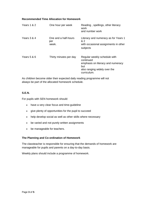#### **Recommended Time Allocation for Homework**

| Years 1 & 2 | One hour per week                    | Reading, spellings, other literacy<br>work<br>and number work                                                                        |
|-------------|--------------------------------------|--------------------------------------------------------------------------------------------------------------------------------------|
| Years 3 & 4 | One and a half-hours<br>per<br>week. | Literacy and numeracy as for Years 1<br>& 2<br>with occasional assignments in other<br>subjects                                      |
| Years 5 & 6 | Thirty minutes per day               | Regular weekly schedule with<br>continued<br>emphasis on literacy and numeracy<br>but<br>also ranging widely over the<br>curriculum. |

As children become older their expected daily reading programme will not always be part of the allocated homework schedule.

#### **S.E.N.**

For pupils with SEN homework should:

- have a very clear focus and time-guideline
- give plenty of opportunities for the pupil to succeed
- help develop social as well as other skills where necessary
- be varied and not purely written assignments
- be manageable for teachers.

#### **The Planning and Co**‐**ordination of Homework**

The classteacher is responsible for ensuring that the demands of homework are manageable for pupils and parents on a day‐to‐day basis.

Weekly plans should include a programme of homework.